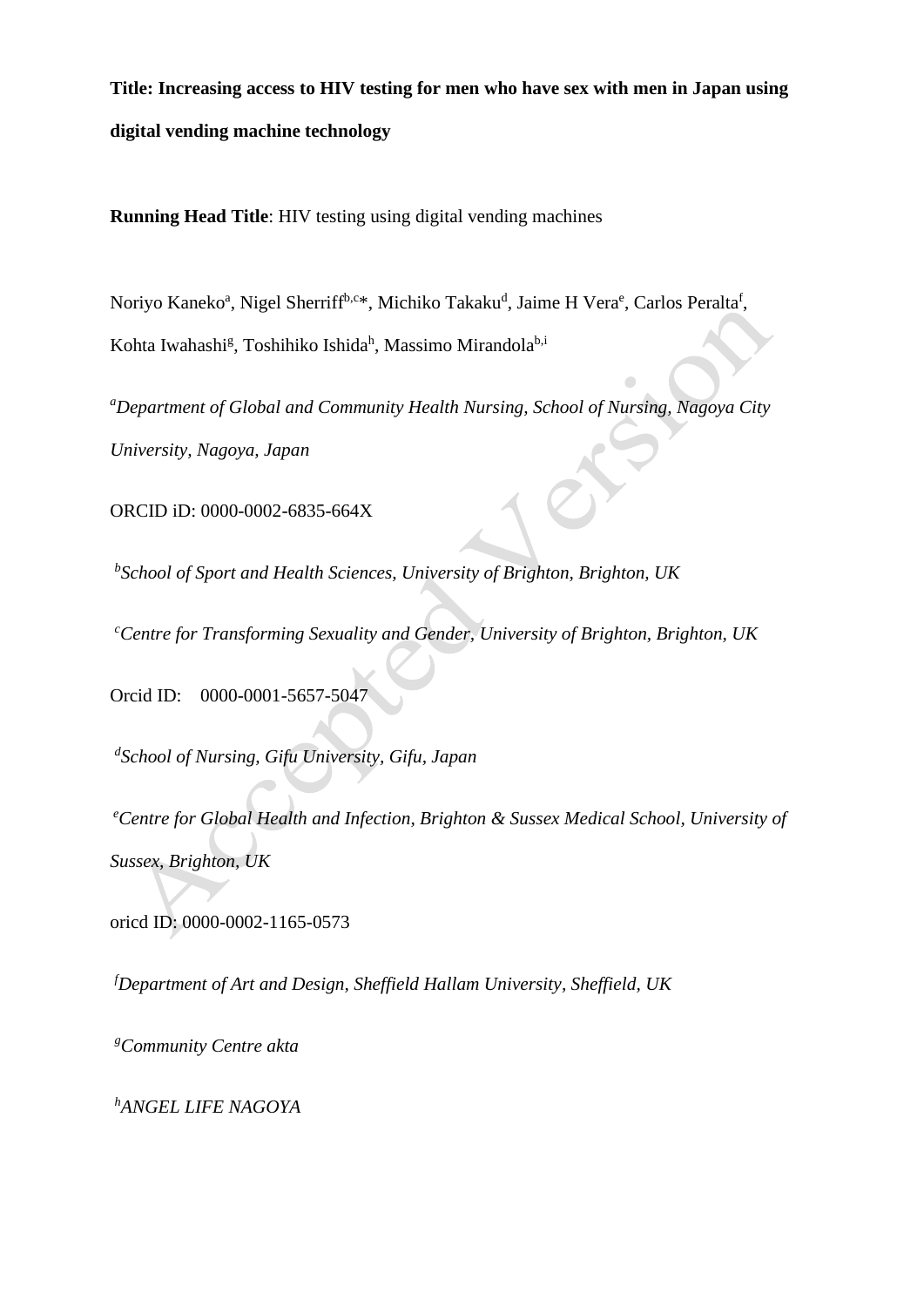**Title: Increasing access to HIV testing for men who have sex with men in Japan using digital vending machine technology**

**Running Head Title**: HIV testing using digital vending machines

Noriyo Kaneko<sup>a</sup>, Nigel Sherriff<sup>b,c\*</sup>, Michiko Takaku<sup>d</sup>, Jaime H Vera<sup>e</sup>, Carlos Peralta<sup>f</sup>, Kohta Iwahashi<sup>g</sup>, Toshihiko Ishida<sup>h</sup>, Massimo Mirandola<sup>b,i</sup>

*<sup>a</sup>Department of Global and Community Health Nursing, School of Nursing, Nagoya City University, Nagoya, Japan*

ORCID iD: 0000-0002-6835-664X

*b School of Sport and Health Sciences, University of Brighton, Brighton, UK*

*<sup>c</sup>Centre for Transforming Sexuality and Gender, University of Brighton, Brighton, UK*

Orcid ID: [0000-0001-5657-5047](https://orcid.org/0000-0001-5657-5047)

*d School of Nursing, Gifu University, Gifu, Japan*

*<sup>e</sup>Centre for Global Health and Infection, Brighton & Sussex Medical School, University of Sussex, Brighton, UK*

oricd ID: 0000-0002-1165-0573

*<sup>f</sup>Department of Art and Design, Sheffield Hallam University, Sheffield, UK*

*<sup>g</sup>Community Centre akta*

*<sup>h</sup>ANGEL LIFE NAGOYA*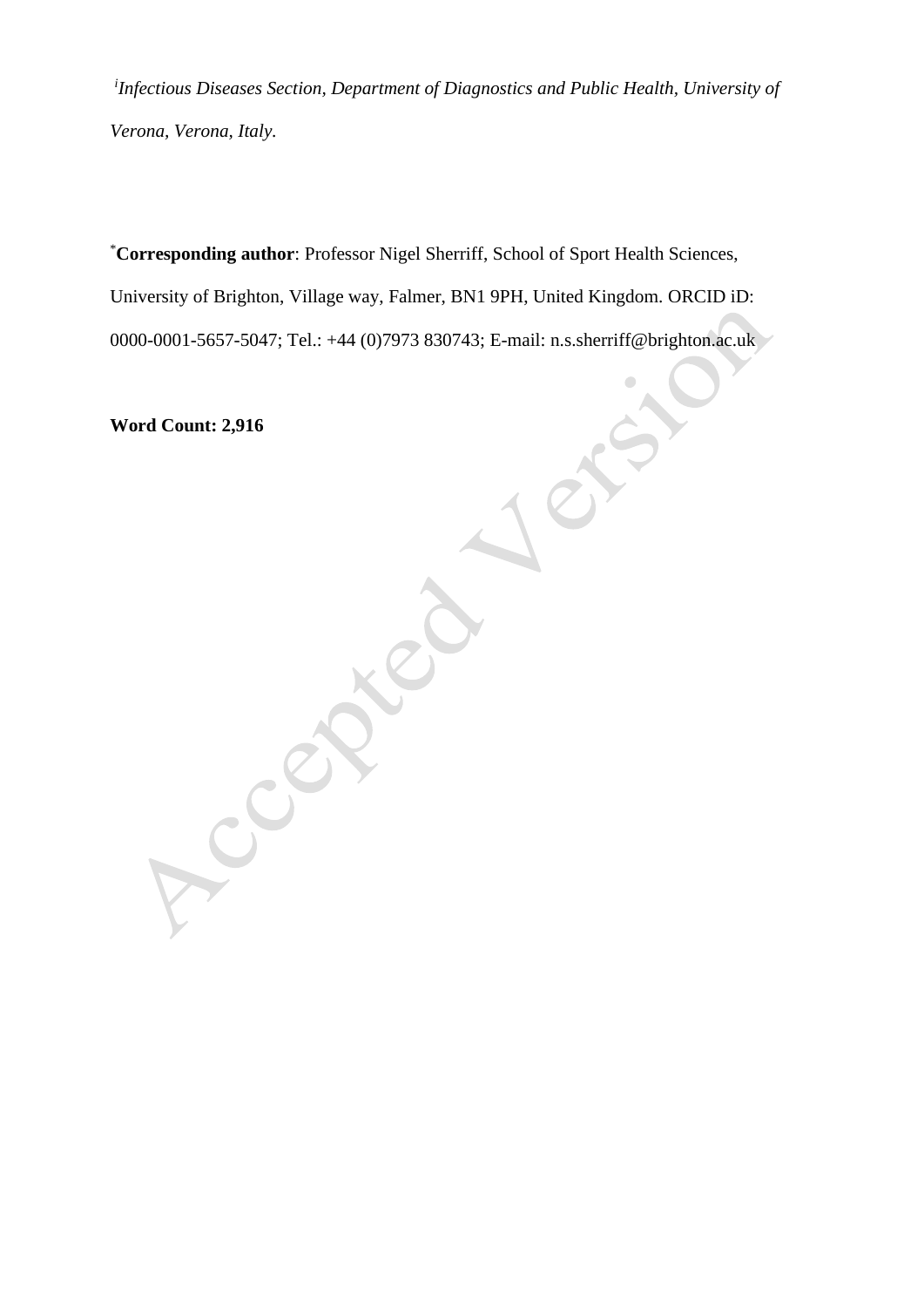*i Infectious Diseases Section, Department of Diagnostics and Public Health, University of Verona, Verona, Italy.*

\***Corresponding author**: Professor Nigel Sherriff, School of Sport Health Sciences, University of Brighton, Village way, Falmer, BN1 9PH, United Kingdom. ORCID iD: 0000-0001-5657-5047; Tel.: +44 (0)7973 830743; E-mail: n.s.sherriff@brighton.ac.uk

**Word Count: 2,916**

CON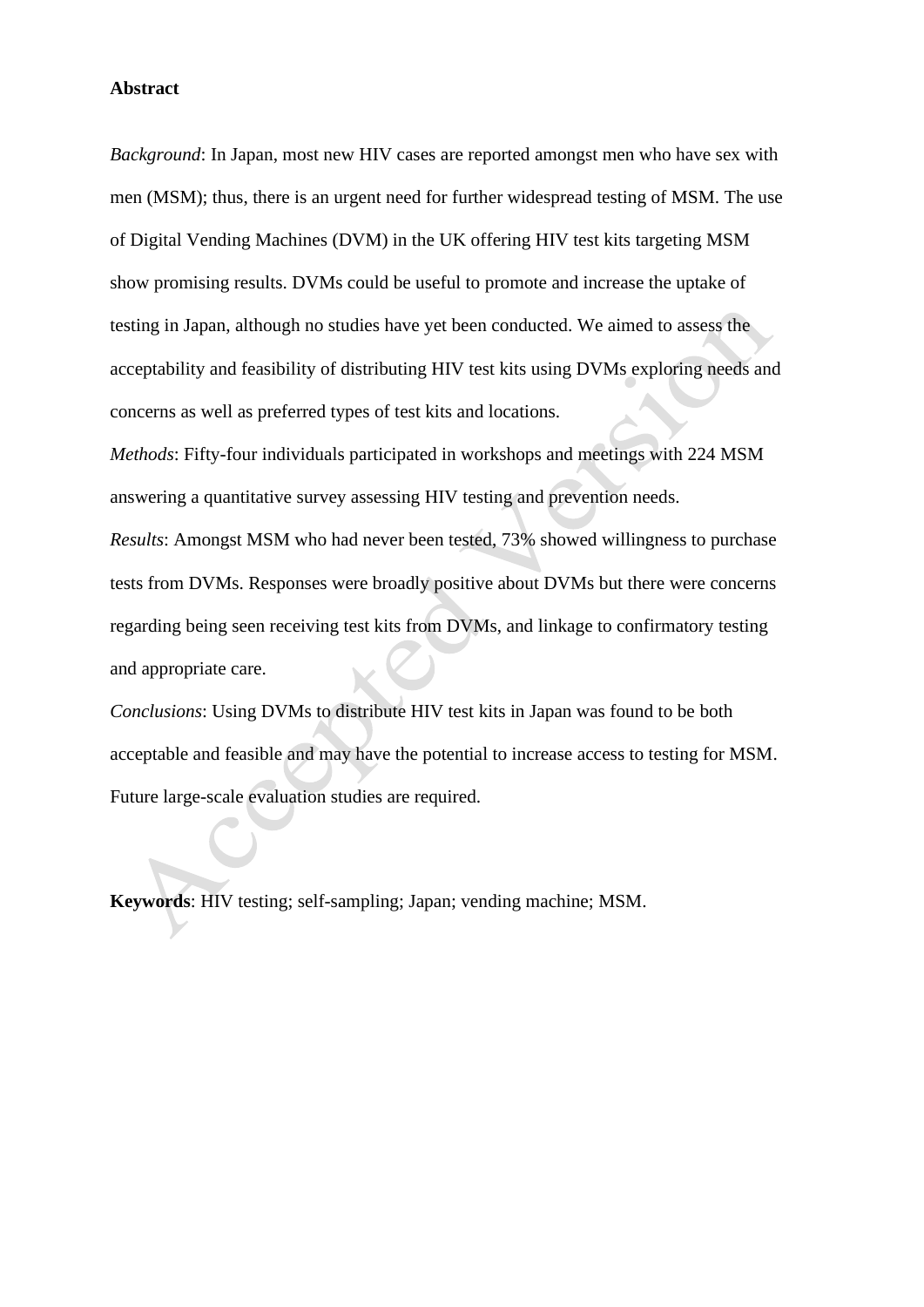#### **Abstract**

*Background*: In Japan, most new HIV cases are reported amongst men who have sex with men (MSM); thus, there is an urgent need for further widespread testing of MSM. The use of Digital Vending Machines (DVM) in the UK offering HIV test kits targeting MSM show promising results. DVMs could be useful to promote and increase the uptake of testing in Japan, although no studies have yet been conducted. We aimed to assess the acceptability and feasibility of distributing HIV test kits using DVMs exploring needs and concerns as well as preferred types of test kits and locations.

*Methods*: Fifty-four individuals participated in workshops and meetings with 224 MSM answering a quantitative survey assessing HIV testing and prevention needs.

*Results*: Amongst MSM who had never been tested, 73% showed willingness to purchase tests from DVMs. Responses were broadly positive about DVMs but there were concerns regarding being seen receiving test kits from DVMs, and linkage to confirmatory testing and appropriate care.

*Conclusions*: Using DVMs to distribute HIV test kits in Japan was found to be both acceptable and feasible and may have the potential to increase access to testing for MSM. Future large-scale evaluation studies are required.

**Keywords**: HIV testing; self-sampling; Japan; vending machine; MSM.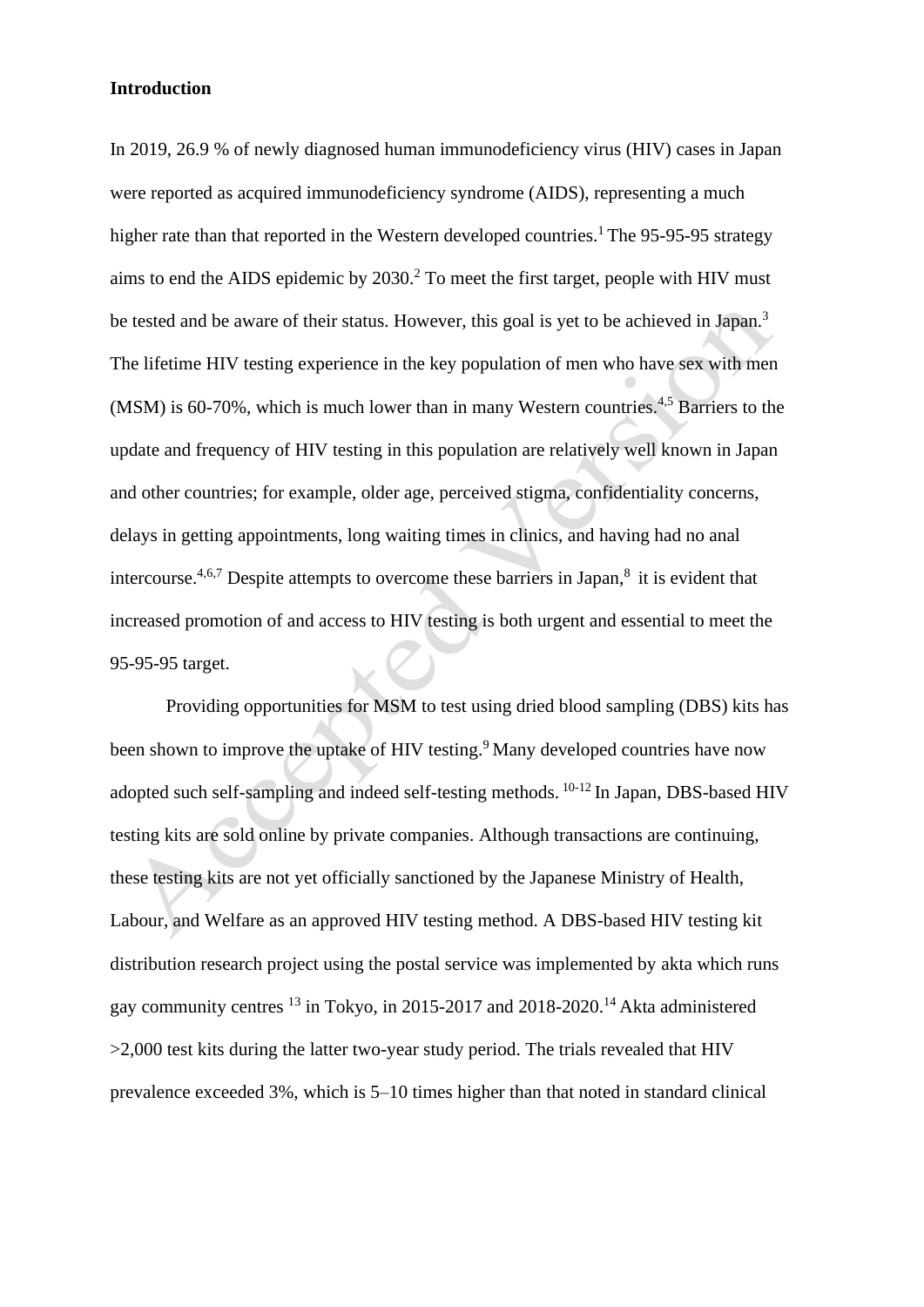## **Introduction**

In 2019, 26.9 % of newly diagnosed human immunodeficiency virus (HIV) cases in Japan were reported as acquired immunodeficiency syndrome (AIDS), representing a much higher rate than that reported in the Western developed countries.<sup>1</sup> The 95-95-95 strategy aims to end the AIDS epidemic by 2030.<sup>2</sup> To meet the first target, people with HIV must be tested and be aware of their status. However, this goal is yet to be achieved in Japan.<sup>3</sup> The lifetime HIV testing experience in the key population of men who have sex with men (MSM) is 60-70%, which is much lower than in many Western countries.<sup>4,5</sup> Barriers to the update and frequency of HIV testing in this population are relatively well known in Japan and other countries; for example, older age, perceived stigma, confidentiality concerns, delays in getting appointments, long waiting times in clinics, and having had no anal intercourse.<sup>4,6,7</sup> Despite attempts to overcome these barriers in Japan,<sup>8</sup> it is evident that increased promotion of and access to HIV testing is both urgent and essential to meet the 95-95-95 target.

Providing opportunities for MSM to test using dried blood sampling (DBS) kits has been shown to improve the uptake of HIV testing. <sup>9</sup> Many developed countries have now adopted such self-sampling and indeed self-testing methods. <sup>10-12</sup> In Japan, DBS-based HIV testing kits are sold online by private companies. Although transactions are continuing, these testing kits are not yet officially sanctioned by the Japanese Ministry of Health, Labour, and Welfare as an approved HIV testing method. A DBS-based HIV testing kit distribution research project using the postal service was implemented by akta which runs gay community centres <sup>13</sup> in Tokyo, in 2015-2017 and 2018-2020.<sup>14</sup> Akta administered >2,000 test kits during the latter two-year study period. The trials revealed that HIV prevalence exceeded 3%, which is 5–10 times higher than that noted in standard clinical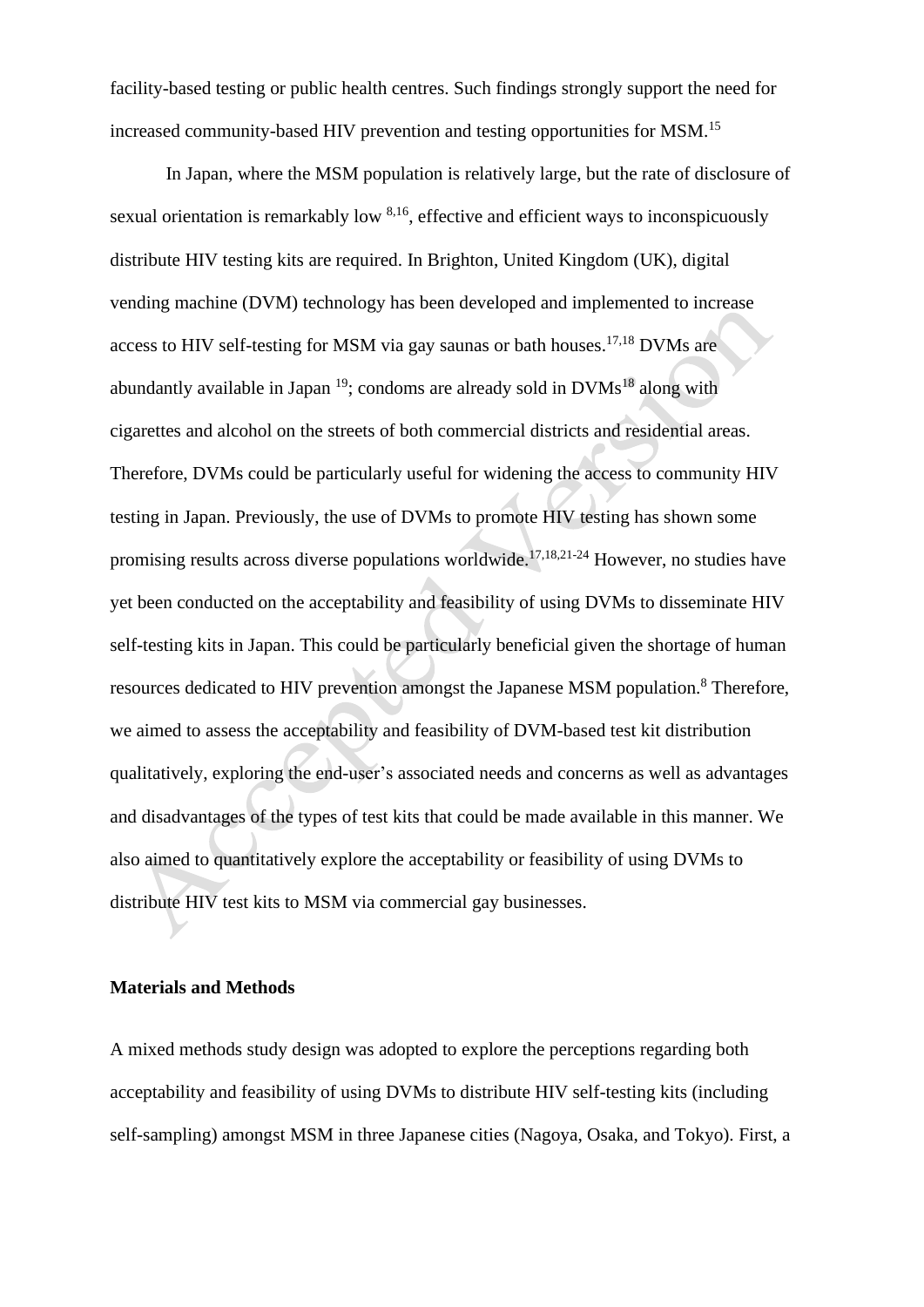facility-based testing or public health centres. Such findings strongly support the need for increased community-based HIV prevention and testing opportunities for MSM.<sup>15</sup>

In Japan, where the MSM population is relatively large, but the rate of disclosure of sexual orientation is remarkably low <sup>8,16</sup>, effective and efficient ways to inconspicuously distribute HIV testing kits are required. In Brighton, United Kingdom (UK), digital vending machine (DVM) technology has been developed and implemented to increase access to HIV self-testing for MSM via gay saunas or bath houses. 17,18 DVMs are abundantly available in Japan<sup>19</sup>; condoms are already sold in  $DVMs<sup>18</sup>$  along with cigarettes and alcohol on the streets of both commercial districts and residential areas. Therefore, DVMs could be particularly useful for widening the access to community HIV testing in Japan. Previously, the use of DVMs to promote HIV testing has shown some promising results across diverse populations worldwide.<sup>17,18,21-24</sup> However, no studies have yet been conducted on the acceptability and feasibility of using DVMs to disseminate HIV self-testing kits in Japan. This could be particularly beneficial given the shortage of human resources dedicated to HIV prevention amongst the Japanese MSM population.<sup>8</sup> Therefore, we aimed to assess the acceptability and feasibility of DVM-based test kit distribution qualitatively, exploring the end-user's associated needs and concerns as well as advantages and disadvantages of the types of test kits that could be made available in this manner. We also aimed to quantitatively explore the acceptability or feasibility of using DVMs to distribute HIV test kits to MSM via commercial gay businesses.

## **Materials and Methods**

A mixed methods study design was adopted to explore the perceptions regarding both acceptability and feasibility of using DVMs to distribute HIV self-testing kits (including self-sampling) amongst MSM in three Japanese cities (Nagoya, Osaka, and Tokyo). First, a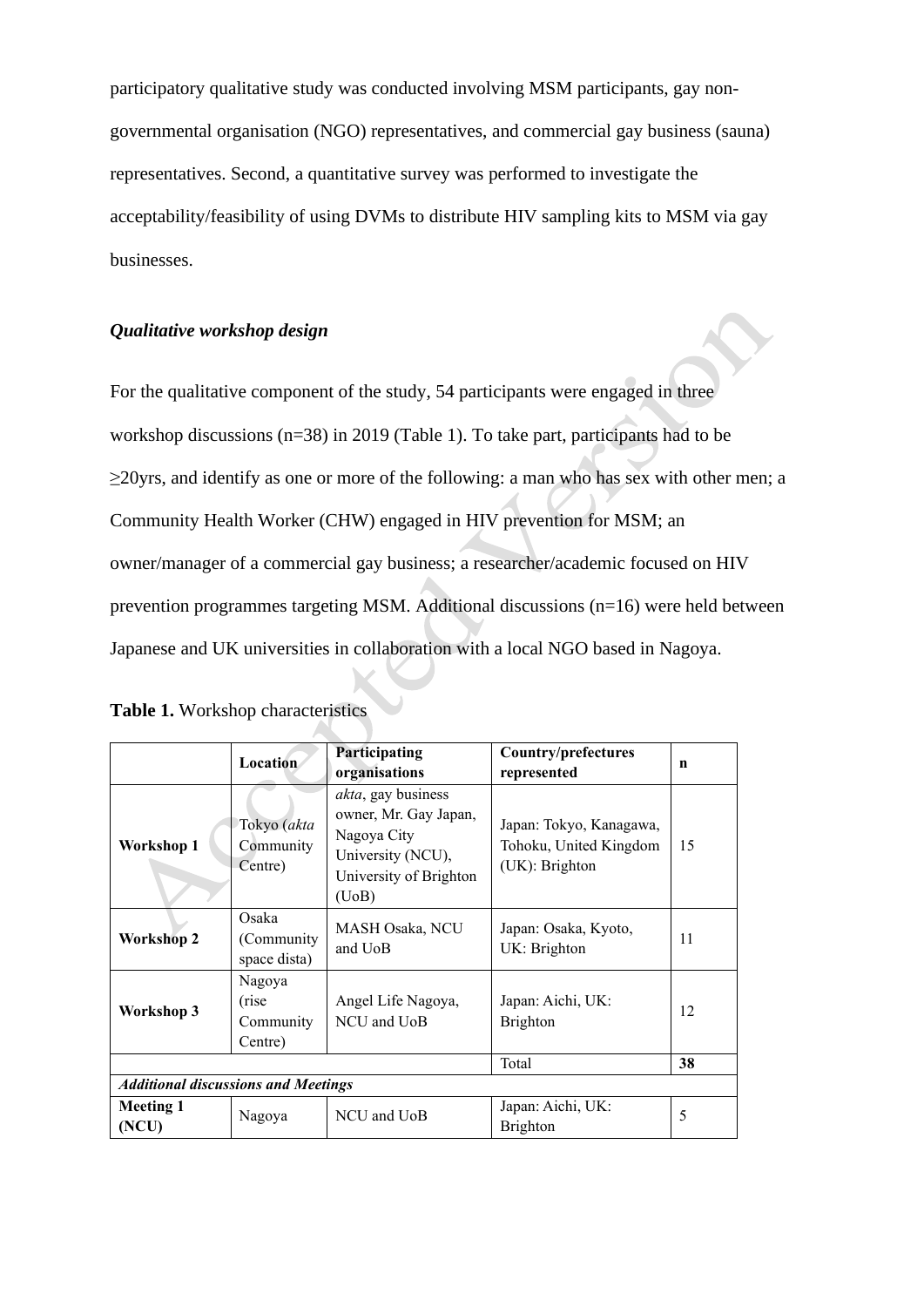participatory qualitative study was conducted involving MSM participants, gay nongovernmental organisation (NGO) representatives, and commercial gay business (sauna) representatives. Second, a quantitative survey was performed to investigate the acceptability/feasibility of using DVMs to distribute HIV sampling kits to MSM via gay businesses.

# *Qualitative workshop design*

For the qualitative component of the study, 54 participants were engaged in three workshop discussions (n=38) in 2019 (Table 1). To take part, participants had to be  $\geq$ 20yrs, and identify as one or more of the following: a man who has sex with other men; a Community Health Worker (CHW) engaged in HIV prevention for MSM; an owner/manager of a commercial gay business; a researcher/academic focused on HIV prevention programmes targeting MSM. Additional discussions (n=16) were held between Japanese and UK universities in collaboration with a local NGO based in Nagoya.

|                                            | Location                                 | <b>Participating</b><br>organisations                                                                                      | Country/prefectures<br>represented                                  | n  |  |  |
|--------------------------------------------|------------------------------------------|----------------------------------------------------------------------------------------------------------------------------|---------------------------------------------------------------------|----|--|--|
| Workshop 1                                 | Tokyo (akta<br>Community<br>Centre)      | <i>akta</i> , gay business<br>owner, Mr. Gay Japan,<br>Nagoya City<br>University (NCU),<br>University of Brighton<br>(UoB) | Japan: Tokyo, Kanagawa,<br>Tohoku, United Kingdom<br>(UK): Brighton | 15 |  |  |
| <b>Workshop 2</b>                          | Osaka<br>(Community<br>space dista)      | MASH Osaka, NCU<br>and UoB                                                                                                 | Japan: Osaka, Kyoto,<br>UK: Brighton                                | 11 |  |  |
| Workshop 3                                 | Nagoya<br>(rise)<br>Community<br>Centre) | Angel Life Nagoya,<br>NCU and UoB                                                                                          | Japan: Aichi, UK:<br><b>Brighton</b>                                | 12 |  |  |
|                                            |                                          |                                                                                                                            | Total                                                               | 38 |  |  |
| <b>Additional discussions and Meetings</b> |                                          |                                                                                                                            |                                                                     |    |  |  |
| <b>Meeting 1</b><br>(NCU)                  | Nagoya                                   | NCU and UoB                                                                                                                | Japan: Aichi, UK:<br>Brighton                                       | 5  |  |  |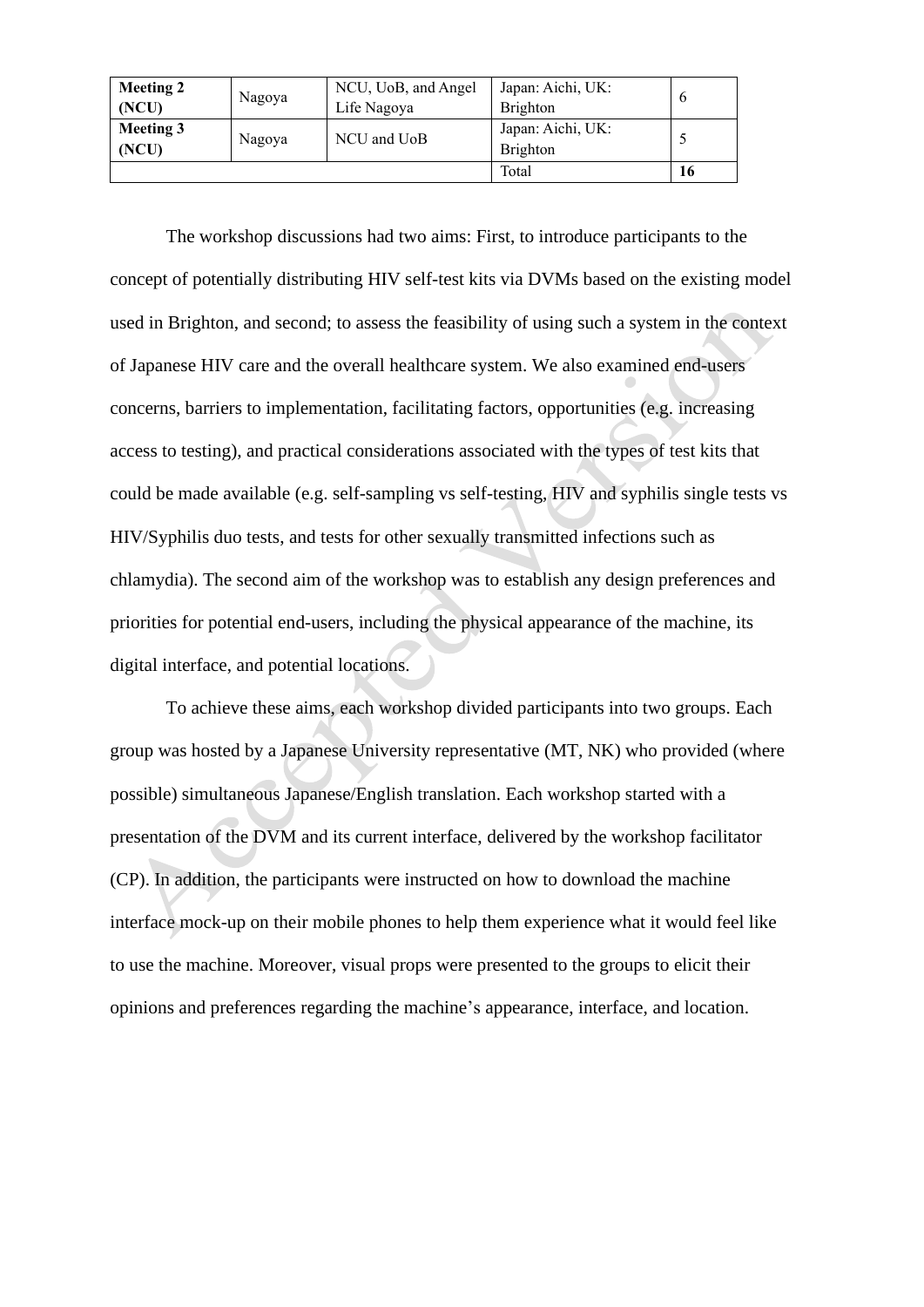| <b>Meeting 2</b><br>(NCU) | Nagoya | NCU, UoB, and Angel<br>Life Nagoya | Japan: Aichi, UK:<br><b>Brighton</b> | $\mathfrak b$ |
|---------------------------|--------|------------------------------------|--------------------------------------|---------------|
| <b>Meeting 3</b><br>(NCU) | Nagoya | NCU and UoB                        | Japan: Aichi, UK:<br><b>Brighton</b> |               |
|                           |        |                                    | Total                                | 16            |

The workshop discussions had two aims: First, to introduce participants to the concept of potentially distributing HIV self-test kits via DVMs based on the existing model used in Brighton, and second; to assess the feasibility of using such a system in the context of Japanese HIV care and the overall healthcare system. We also examined end-users concerns, barriers to implementation, facilitating factors, opportunities (e.g. increasing access to testing), and practical considerations associated with the types of test kits that could be made available (e.g. self-sampling vs self-testing, HIV and syphilis single tests vs HIV/Syphilis duo tests, and tests for other sexually transmitted infections such as chlamydia). The second aim of the workshop was to establish any design preferences and priorities for potential end-users, including the physical appearance of the machine, its digital interface, and potential locations.

To achieve these aims, each workshop divided participants into two groups. Each group was hosted by a Japanese University representative (MT, NK) who provided (where possible) simultaneous Japanese/English translation. Each workshop started with a presentation of the DVM and its current interface, delivered by the workshop facilitator (CP). In addition, the participants were instructed on how to download the machine interface mock-up on their mobile phones to help them experience what it would feel like to use the machine. Moreover, visual props were presented to the groups to elicit their opinions and preferences regarding the machine's appearance, interface, and location.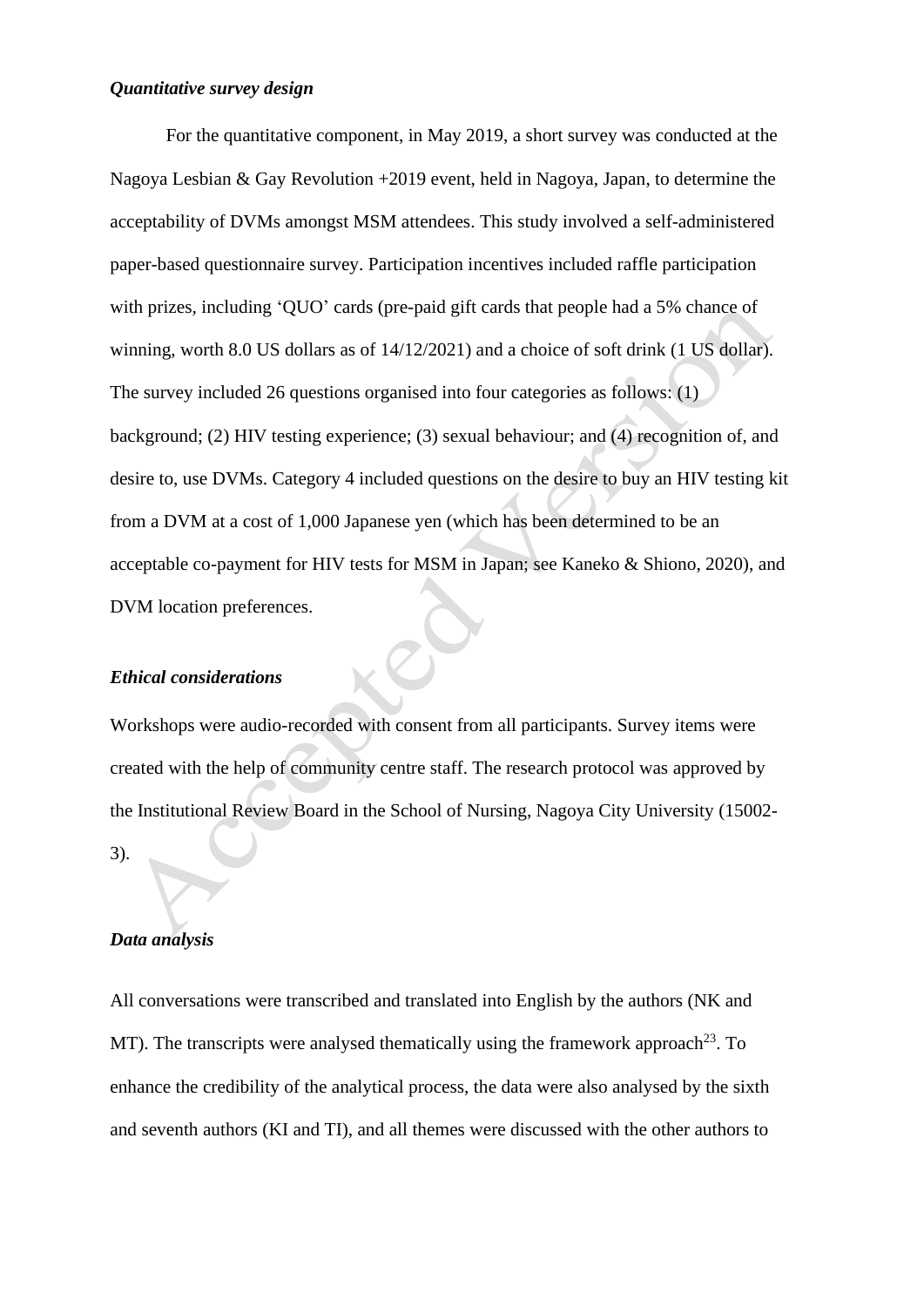#### *Quantitative survey design*

For the quantitative component, in May 2019, a short survey was conducted at the Nagoya Lesbian & Gay Revolution +2019 event, held in Nagoya, Japan, to determine the acceptability of DVMs amongst MSM attendees. This study involved a self-administered paper-based questionnaire survey. Participation incentives included raffle participation with prizes, including 'QUO' cards (pre-paid gift cards that people had a 5% chance of winning, worth 8.0 US dollars as of 14/12/2021) and a choice of soft drink (1 US dollar). The survey included 26 questions organised into four categories as follows: (1) background; (2) HIV testing experience; (3) sexual behaviour; and (4) recognition of, and desire to, use DVMs. Category 4 included questions on the desire to buy an HIV testing kit from a DVM at a cost of 1,000 Japanese yen (which has been determined to be an acceptable co-payment for HIV tests for MSM in Japan; see Kaneko & Shiono, 2020), and DVM location preferences.

### *Ethical considerations*

Workshops were audio-recorded with consent from all participants. Survey items were created with the help of community centre staff. The research protocol was approved by the Institutional Review Board in the School of Nursing, Nagoya City University (15002-

# *Data analysis*

3).

All conversations were transcribed and translated into English by the authors (NK and MT). The transcripts were analysed thematically using the framework approach<sup>23</sup>. To enhance the credibility of the analytical process, the data were also analysed by the sixth and seventh authors (KI and TI), and all themes were discussed with the other authors to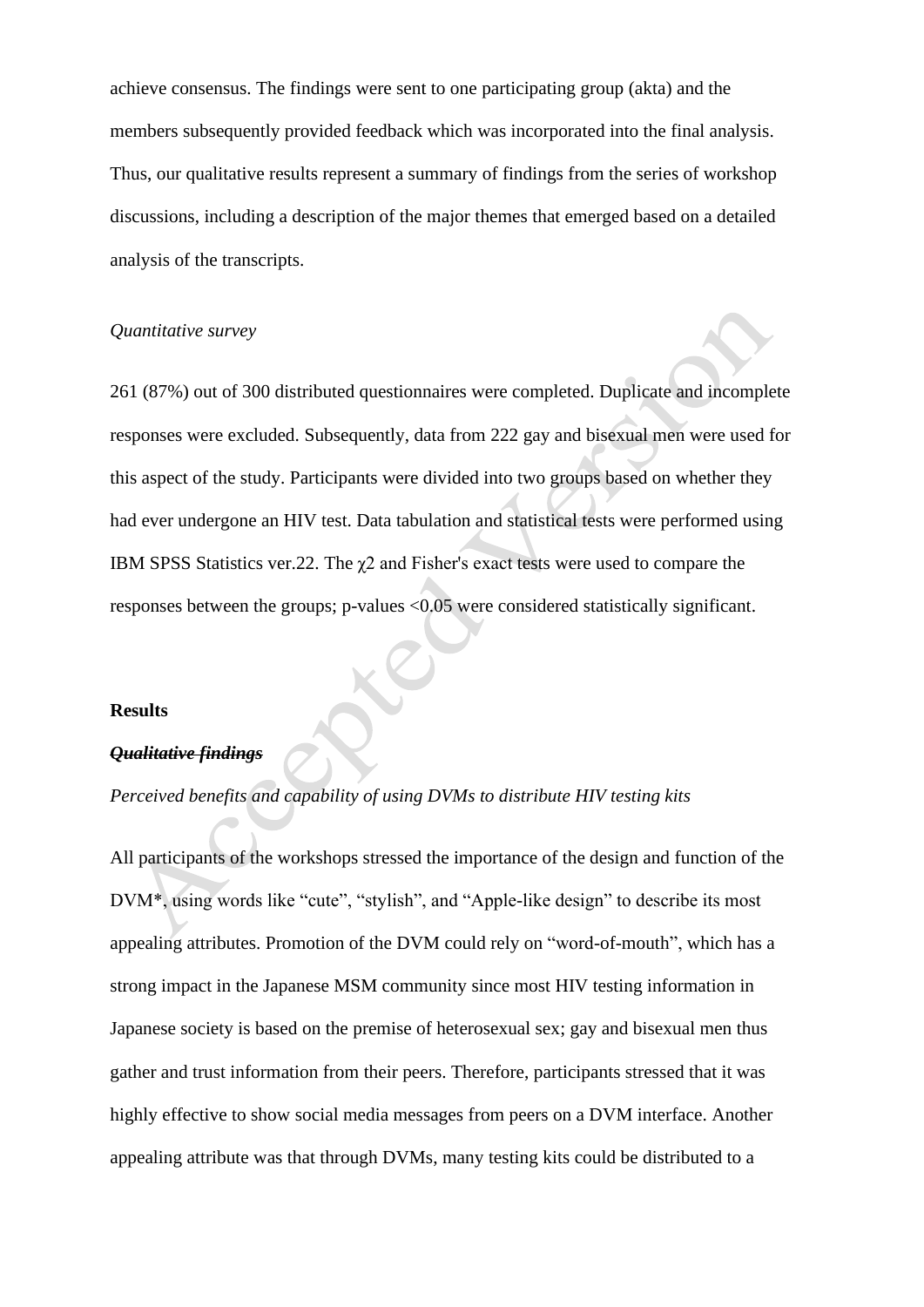achieve consensus. The findings were sent to one participating group (akta) and the members subsequently provided feedback which was incorporated into the final analysis. Thus, our qualitative results represent a summary of findings from the series of workshop discussions, including a description of the major themes that emerged based on a detailed analysis of the transcripts.

# *Quantitative survey*

261 (87%) out of 300 distributed questionnaires were completed. Duplicate and incomplete responses were excluded. Subsequently, data from 222 gay and bisexual men were used for this aspect of the study. Participants were divided into two groups based on whether they had ever undergone an HIV test. Data tabulation and statistical tests were performed using IBM SPSS Statistics ver.22. The  $\chi$ 2 and Fisher's exact tests were used to compare the responses between the groups; p-values <0.05 were considered statistically significant.

#### **Results**

#### *Qualitative findings*

## *Perceived benefits and capability of using DVMs to distribute HIV testing kits*

All participants of the workshops stressed the importance of the design and function of the DVM\*, using words like "cute", "stylish", and "Apple-like design" to describe its most appealing attributes. Promotion of the DVM could rely on "word-of-mouth", which has a strong impact in the Japanese MSM community since most HIV testing information in Japanese society is based on the premise of heterosexual sex; gay and bisexual men thus gather and trust information from their peers. Therefore, participants stressed that it was highly effective to show social media messages from peers on a DVM interface. Another appealing attribute was that through DVMs, many testing kits could be distributed to a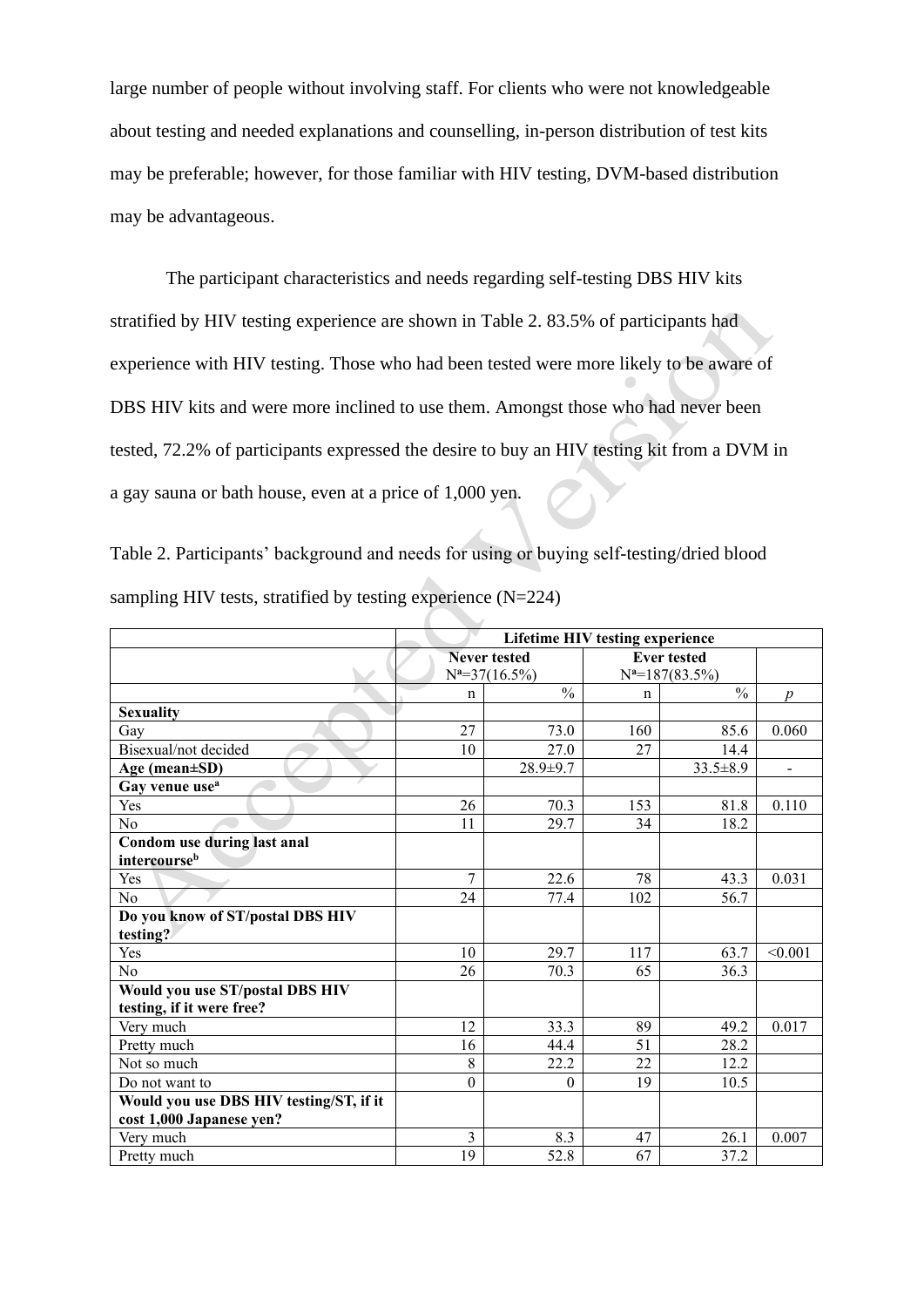large number of people without involving staff. For clients who were not knowledgeable about testing and needed explanations and counselling, in-person distribution of test kits may be preferable; however, for those familiar with HIV testing, DVM-based distribution may be advantageous.

The participant characteristics and needs regarding self-testing DBS HIV kits stratified by HIV testing experience are shown in Table 2. 83.5% of participants had experience with HIV testing. Those who had been tested were more likely to be aware of DBS HIV kits and were more inclined to use them. Amongst those who had never been tested, 72.2% of participants expressed the desire to buy an HIV testing kit from a DVM in a gay sauna or bath house, even at a price of 1,000 yen.

Table 2. Participants' background and needs for using or buying self-testing/dried blood sampling HIV tests, stratified by testing experience (N=224)

|                                         | Lifetime HIV testing experience |                  |                    |                   |                          |
|-----------------------------------------|---------------------------------|------------------|--------------------|-------------------|--------------------------|
|                                         | <b>Never tested</b>             |                  | <b>Ever tested</b> |                   |                          |
|                                         |                                 | $N^2=37(16.5\%)$ |                    | $N^2=187(83.5\%)$ |                          |
|                                         | $\mathbf n$                     | $\frac{0}{0}$    | n                  | $\frac{0}{0}$     | $\boldsymbol{p}$         |
| <b>Sexuality</b>                        |                                 |                  |                    |                   |                          |
| Gay                                     | 27                              | 73.0             | 160                | 85.6              | 0.060                    |
| Bisexual/not decided                    | 10                              | 27.0             | 27                 | 14.4              |                          |
| Age (mean±SD)                           |                                 | 28.9±9.7         |                    | $33.5 \pm 8.9$    | $\overline{\phantom{a}}$ |
| Gay venue use <sup>a</sup>              |                                 |                  |                    |                   |                          |
| Yes                                     | 26                              | 70.3             | 153                | 81.8              | 0.110                    |
| No                                      | 11                              | 29.7             | 34                 | 18.2              |                          |
| Condom use during last anal             |                                 |                  |                    |                   |                          |
| intercourseb                            |                                 |                  |                    |                   |                          |
| Yes                                     | 7                               | 22.6             | 78                 | 43.3              | 0.031                    |
| No                                      | 24                              | 77.4             | 102                | 56.7              |                          |
| Do you know of ST/postal DBS HIV        |                                 |                  |                    |                   |                          |
| testing?                                |                                 |                  |                    |                   |                          |
| Yes                                     | 10                              | 29.7             | 117                | 63.7              | < 0.001                  |
| N <sub>o</sub>                          | 26                              | 70.3             | 65                 | 36.3              |                          |
| Would you use ST/postal DBS HIV         |                                 |                  |                    |                   |                          |
| testing, if it were free?               |                                 |                  |                    |                   |                          |
| Very much                               | 12                              | 33.3             | 89                 | 49.2              | 0.017                    |
| Pretty much                             | 16                              | 44.4             | 51                 | 28.2              |                          |
| Not so much                             | 8                               | 22.2             | 22                 | 12.2              |                          |
| Do not want to                          | $\boldsymbol{0}$                | $\mathbf{0}$     | 19                 | 10.5              |                          |
| Would you use DBS HIV testing/ST, if it |                                 |                  |                    |                   |                          |
| cost 1,000 Japanese yen?                |                                 |                  |                    |                   |                          |
| Very much                               | 3                               | 8.3              | 47                 | 26.1              | 0.007                    |
| Pretty much                             | 19                              | 52.8             | 67                 | 37.2              |                          |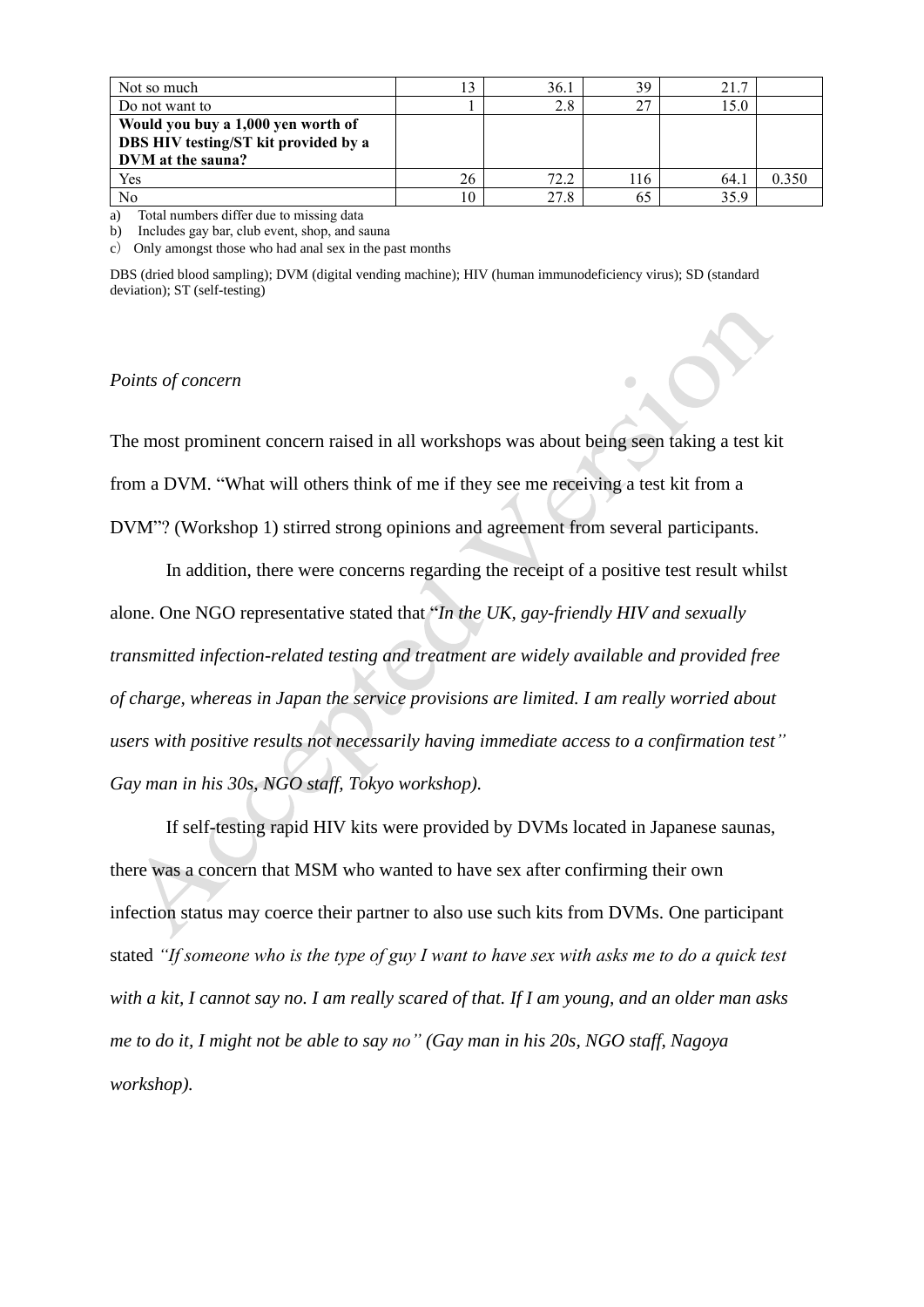| Not so much                                                                                     |    | 36.1 | 39  | 21.7 |       |
|-------------------------------------------------------------------------------------------------|----|------|-----|------|-------|
| Do not want to                                                                                  |    | 2.8  | 27  | .5.0 |       |
| Would you buy a 1,000 yen worth of<br>DBS HIV testing/ST kit provided by a<br>DVM at the sauna? |    |      |     |      |       |
| Yes                                                                                             | 26 | 72.2 | 116 | 64.1 | 0.350 |
| No                                                                                              | 10 | 27.8 | 65  | 35.9 |       |

a) Total numbers differ due to missing data

b) Includes gay bar, club event, shop, and sauna

c) Only amongst those who had anal sex in the past months

DBS (dried blood sampling); DVM (digital vending machine); HIV (human immunodeficiency virus); SD (standard deviation); ST (self-testing)

#### *Points of concern*

The most prominent concern raised in all workshops was about being seen taking a test kit from a DVM. "What will others think of me if they see me receiving a test kit from a DVM"? (Workshop 1) stirred strong opinions and agreement from several participants.

In addition, there were concerns regarding the receipt of a positive test result whilst alone. One NGO representative stated that "*In the UK, gay-friendly HIV and sexually transmitted infection-related testing and treatment are widely available and provided free of charge, whereas in Japan the service provisions are limited. I am really worried about users with positive results not necessarily having immediate access to a confirmation test" Gay man in his 30s, NGO staff, Tokyo workshop).*

If self-testing rapid HIV kits were provided by DVMs located in Japanese saunas, there was a concern that MSM who wanted to have sex after confirming their own infection status may coerce their partner to also use such kits from DVMs. One participant stated *"If someone who is the type of guy I want to have sex with asks me to do a quick test with a kit, I cannot say no. I am really scared of that. If I am young, and an older man asks me to do it, I might not be able to say no" (Gay man in his 20s, NGO staff, Nagoya workshop).*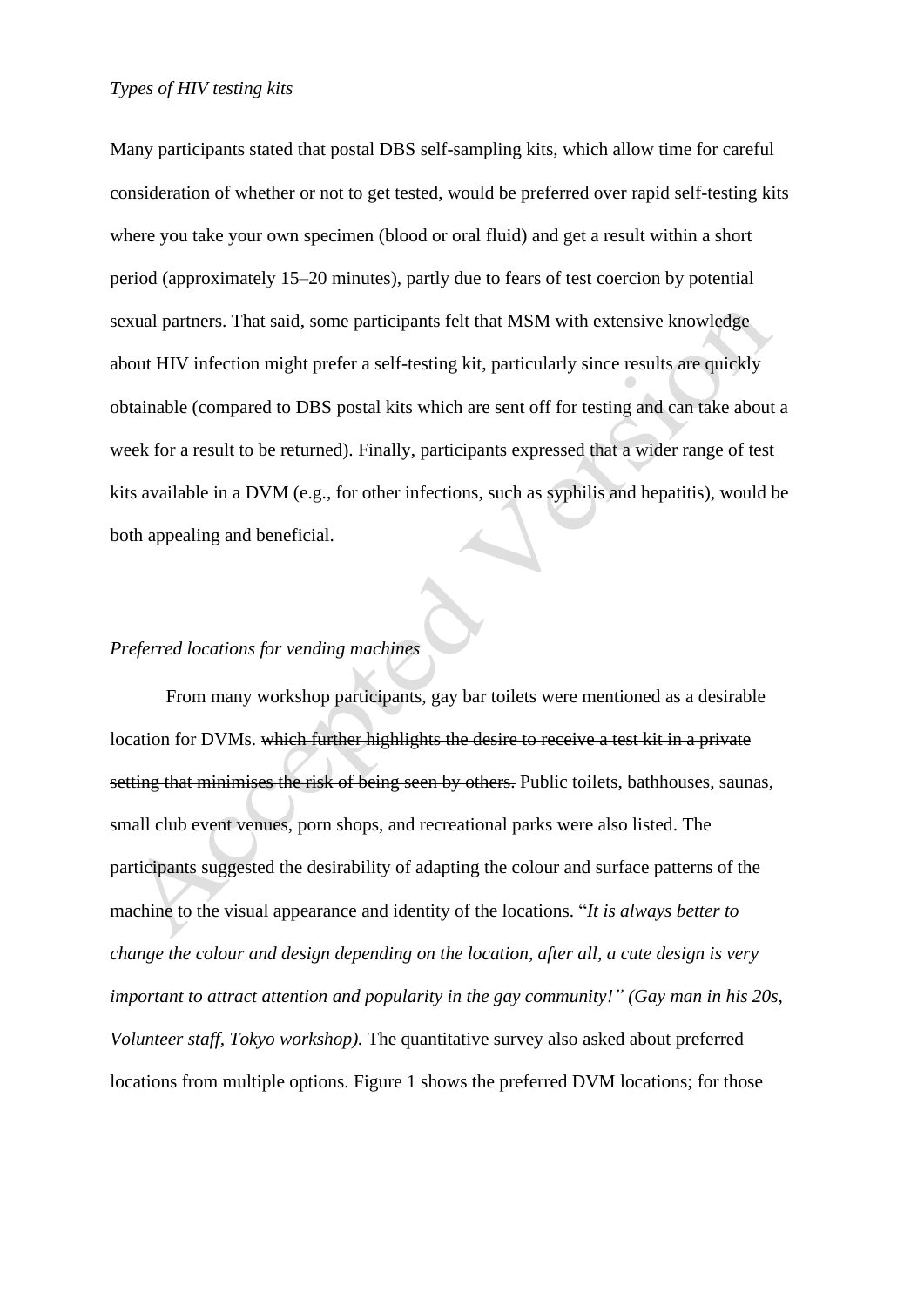Many participants stated that postal DBS self-sampling kits, which allow time for careful consideration of whether or not to get tested, would be preferred over rapid self-testing kits where you take your own specimen (blood or oral fluid) and get a result within a short period (approximately 15–20 minutes), partly due to fears of test coercion by potential sexual partners. That said, some participants felt that MSM with extensive knowledge about HIV infection might prefer a self-testing kit, particularly since results are quickly obtainable (compared to DBS postal kits which are sent off for testing and can take about a week for a result to be returned). Finally, participants expressed that a wider range of test kits available in a DVM (e.g., for other infections, such as syphilis and hepatitis), would be both appealing and beneficial.

# *Preferred locations for vending machines*

From many workshop participants, gay bar toilets were mentioned as a desirable location for DVMs. which further highlights the desire to receive a test kit in a private setting that minimises the risk of being seen by others. Public toilets, bathhouses, saunas, small club event venues, porn shops, and recreational parks were also listed. The participants suggested the desirability of adapting the colour and surface patterns of the machine to the visual appearance and identity of the locations. "*It is always better to change the colour and design depending on the location, after all, a cute design is very important to attract attention and popularity in the gay community!" (Gay man in his 20s, Volunteer staff, Tokyo workshop).* The quantitative survey also asked about preferred locations from multiple options. Figure 1 shows the preferred DVM locations; for those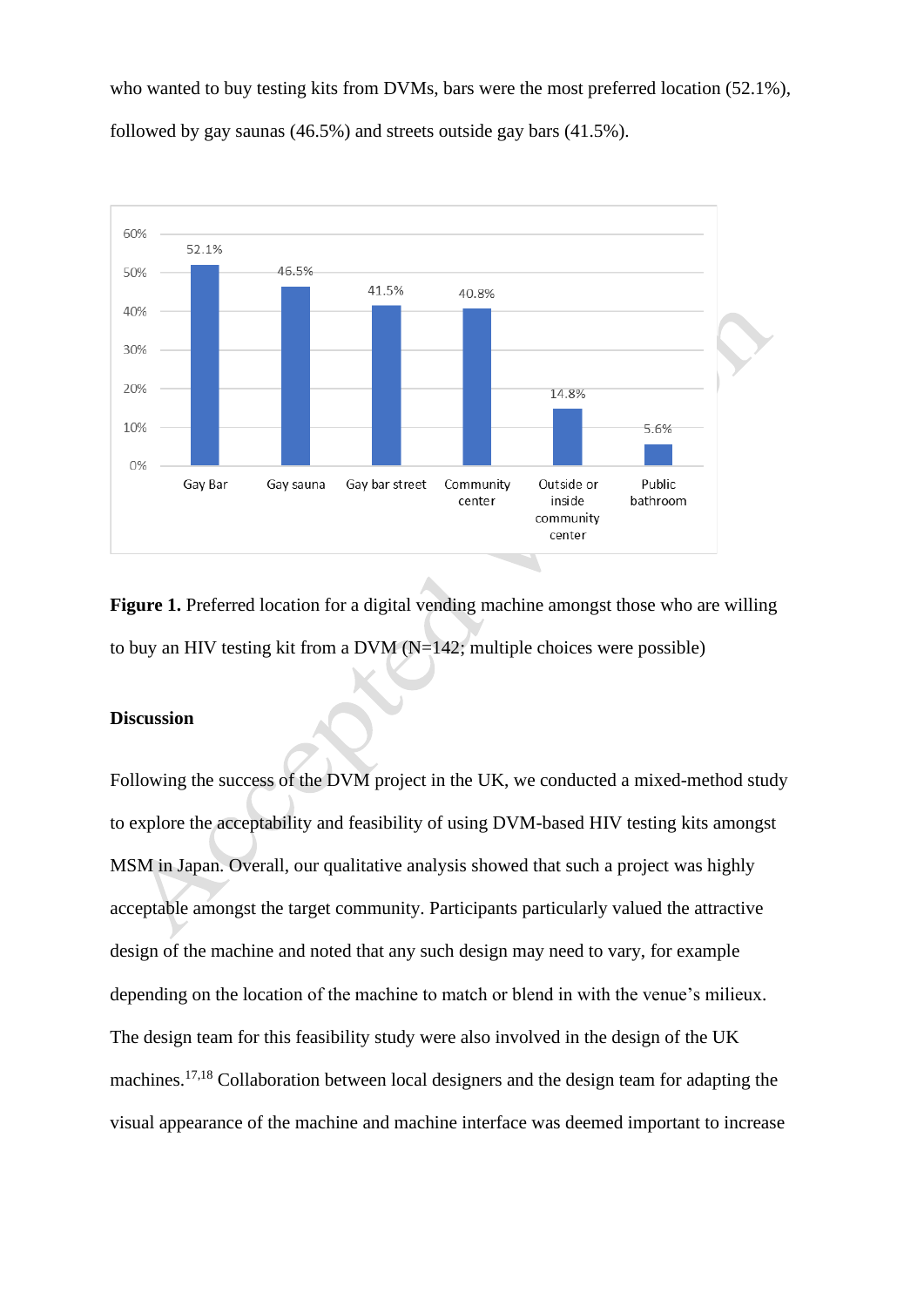who wanted to buy testing kits from DVMs, bars were the most preferred location (52.1%), followed by gay saunas (46.5%) and streets outside gay bars (41.5%).



**Figure 1.** Preferred location for a digital vending machine amongst those who are willing to buy an HIV testing kit from a DVM  $(N=142;$  multiple choices were possible)

### **Discussion**

Following the success of the DVM project in the UK, we conducted a mixed-method study to explore the acceptability and feasibility of using DVM-based HIV testing kits amongst MSM in Japan. Overall, our qualitative analysis showed that such a project was highly acceptable amongst the target community. Participants particularly valued the attractive design of the machine and noted that any such design may need to vary, for example depending on the location of the machine to match or blend in with the venue's milieux. The design team for this feasibility study were also involved in the design of the UK machines.17,18 Collaboration between local designers and the design team for adapting the visual appearance of the machine and machine interface was deemed important to increase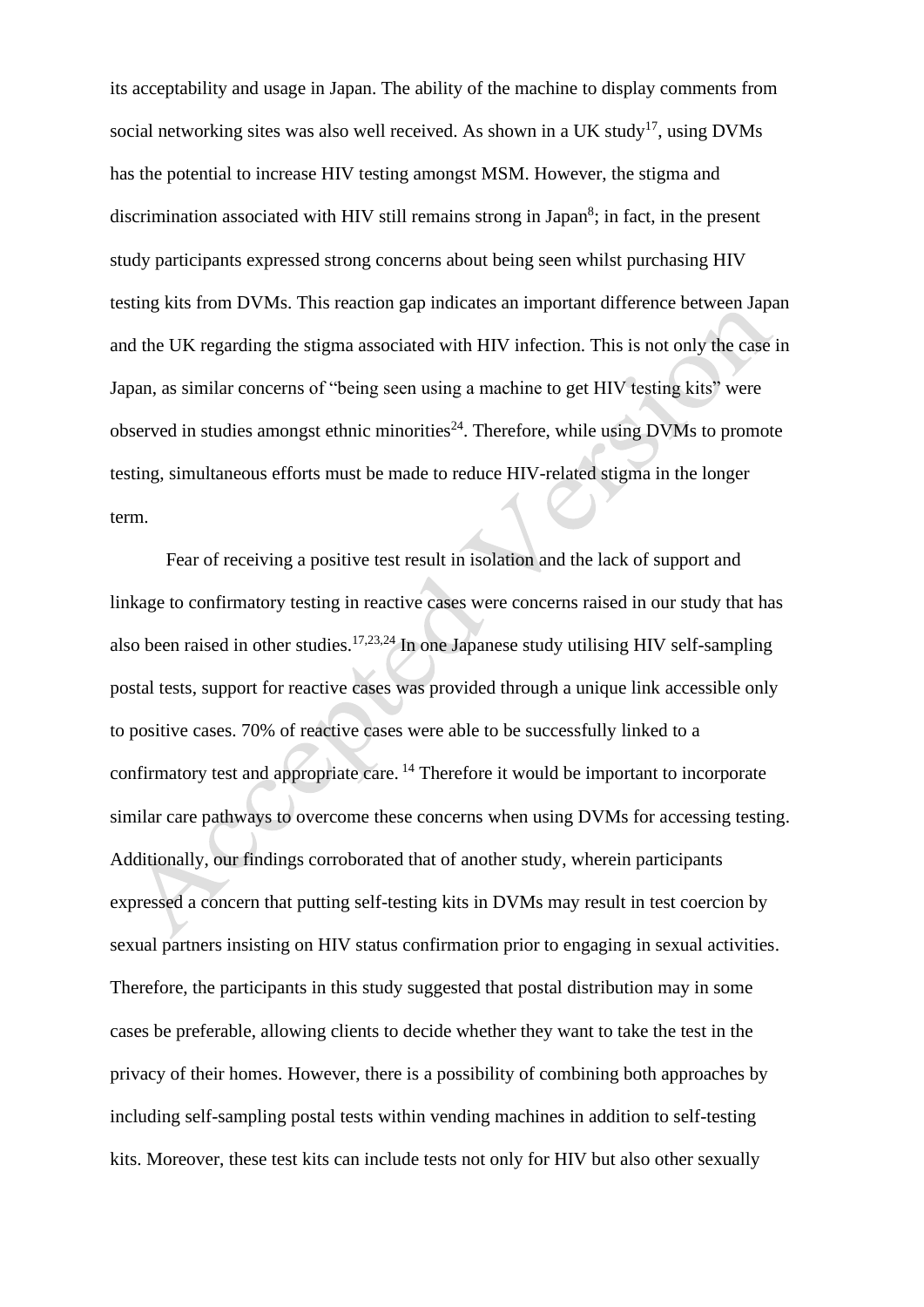its acceptability and usage in Japan. The ability of the machine to display comments from social networking sites was also well received. As shown in a UK study<sup>17</sup>, using DVMs has the potential to increase HIV testing amongst MSM. However, the stigma and discrimination associated with HIV still remains strong in Japan<sup>8</sup>; in fact, in the present study participants expressed strong concerns about being seen whilst purchasing HIV testing kits from DVMs. This reaction gap indicates an important difference between Japan and the UK regarding the stigma associated with HIV infection. This is not only the case in Japan, as similar concerns of "being seen using a machine to get HIV testing kits" were observed in studies amongst ethnic minorities<sup>24</sup>. Therefore, while using DVMs to promote testing, simultaneous efforts must be made to reduce HIV-related stigma in the longer term.

Fear of receiving a positive test result in isolation and the lack of support and linkage to confirmatory testing in reactive cases were concerns raised in our study that has also been raised in other studies. 17,23,24 In one Japanese study utilising HIV self-sampling postal tests, support for reactive cases was provided through a unique link accessible only to positive cases. 70% of reactive cases were able to be successfully linked to a confirmatory test and appropriate care.<sup>14</sup> Therefore it would be important to incorporate similar care pathways to overcome these concerns when using DVMs for accessing testing. Additionally, our findings corroborated that of another study, wherein participants expressed a concern that putting self-testing kits in DVMs may result in test coercion by sexual partners insisting on HIV status confirmation prior to engaging in sexual activities. Therefore, the participants in this study suggested that postal distribution may in some cases be preferable, allowing clients to decide whether they want to take the test in the privacy of their homes. However, there is a possibility of combining both approaches by including self-sampling postal tests within vending machines in addition to self-testing kits. Moreover, these test kits can include tests not only for HIV but also other sexually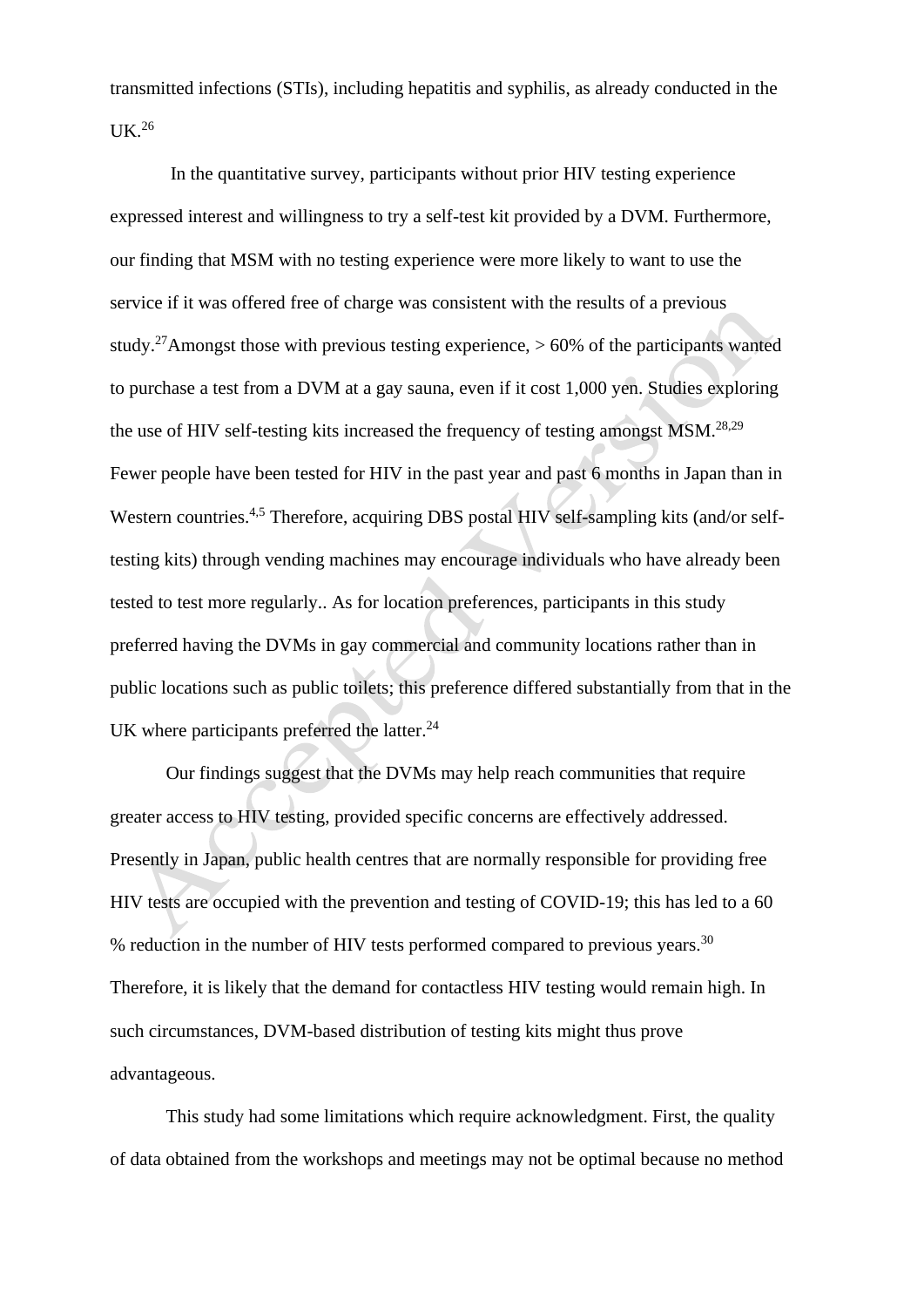transmitted infections (STIs), including hepatitis and syphilis, as already conducted in the  $UK<sup>26</sup>$ 

In the quantitative survey, participants without prior HIV testing experience expressed interest and willingness to try a self-test kit provided by a DVM. Furthermore, our finding that MSM with no testing experience were more likely to want to use the service if it was offered free of charge was consistent with the results of a previous study.<sup>27</sup>Amongst those with previous testing experience,  $> 60\%$  of the participants wanted to purchase a test from a DVM at a gay sauna, even if it cost 1,000 yen. Studies exploring the use of HIV self-testing kits increased the frequency of testing amongst  $MSM$ .<sup>28,29</sup> Fewer people have been tested for HIV in the past year and past 6 months in Japan than in Western countries.<sup>4,5</sup> Therefore, acquiring DBS postal HIV self-sampling kits (and/or selftesting kits) through vending machines may encourage individuals who have already been tested to test more regularly.. As for location preferences, participants in this study preferred having the DVMs in gay commercial and community locations rather than in public locations such as public toilets; this preference differed substantially from that in the UK where participants preferred the latter.<sup>24</sup>

Our findings suggest that the DVMs may help reach communities that require greater access to HIV testing, provided specific concerns are effectively addressed. Presently in Japan, public health centres that are normally responsible for providing free HIV tests are occupied with the prevention and testing of COVID-19; this has led to a 60 % reduction in the number of HIV tests performed compared to previous years.<sup>30</sup> Therefore, it is likely that the demand for contactless HIV testing would remain high. In such circumstances, DVM-based distribution of testing kits might thus prove advantageous.

This study had some limitations which require acknowledgment. First, the quality of data obtained from the workshops and meetings may not be optimal because no method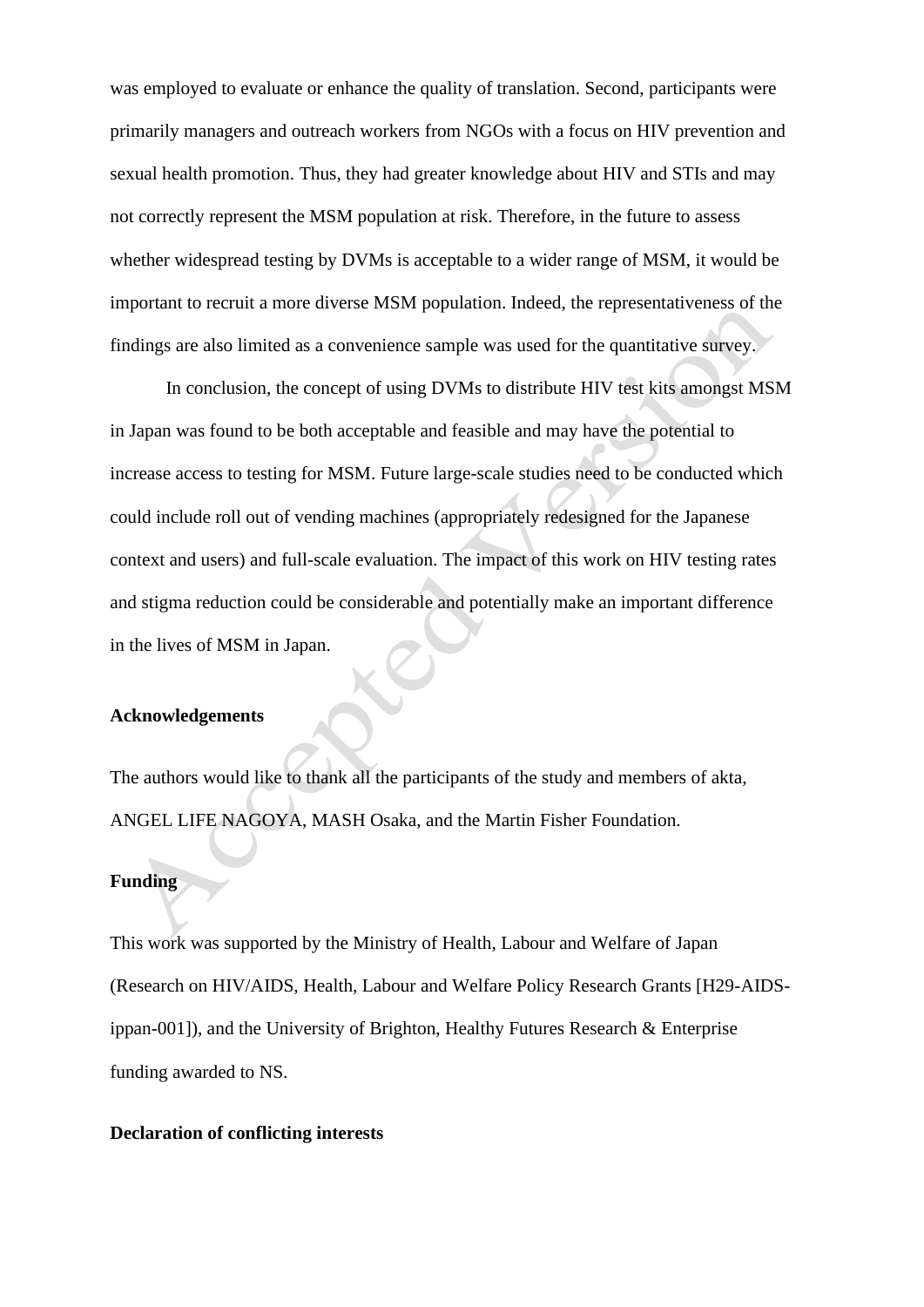was employed to evaluate or enhance the quality of translation. Second, participants were primarily managers and outreach workers from NGOs with a focus on HIV prevention and sexual health promotion. Thus, they had greater knowledge about HIV and STIs and may not correctly represent the MSM population at risk. Therefore, in the future to assess whether widespread testing by DVMs is acceptable to a wider range of MSM, it would be important to recruit a more diverse MSM population. Indeed, the representativeness of the findings are also limited as a convenience sample was used for the quantitative survey.

In conclusion, the concept of using DVMs to distribute HIV test kits amongst MSM in Japan was found to be both acceptable and feasible and may have the potential to increase access to testing for MSM. Future large-scale studies need to be conducted which could include roll out of vending machines (appropriately redesigned for the Japanese context and users) and full-scale evaluation. The impact of this work on HIV testing rates and stigma reduction could be considerable and potentially make an important difference in the lives of MSM in Japan.

# **Acknowledgements**

The authors would like to thank all the participants of the study and members of akta, ANGEL LIFE NAGOYA, MASH Osaka, and the Martin Fisher Foundation.

# **Funding**

This work was supported by the Ministry of Health, Labour and Welfare of Japan (Research on HIV/AIDS, Health, Labour and Welfare Policy Research Grants [H29-AIDSippan-001]), and the University of Brighton, Healthy Futures Research & Enterprise funding awarded to NS.

# **Declaration of conflicting interests**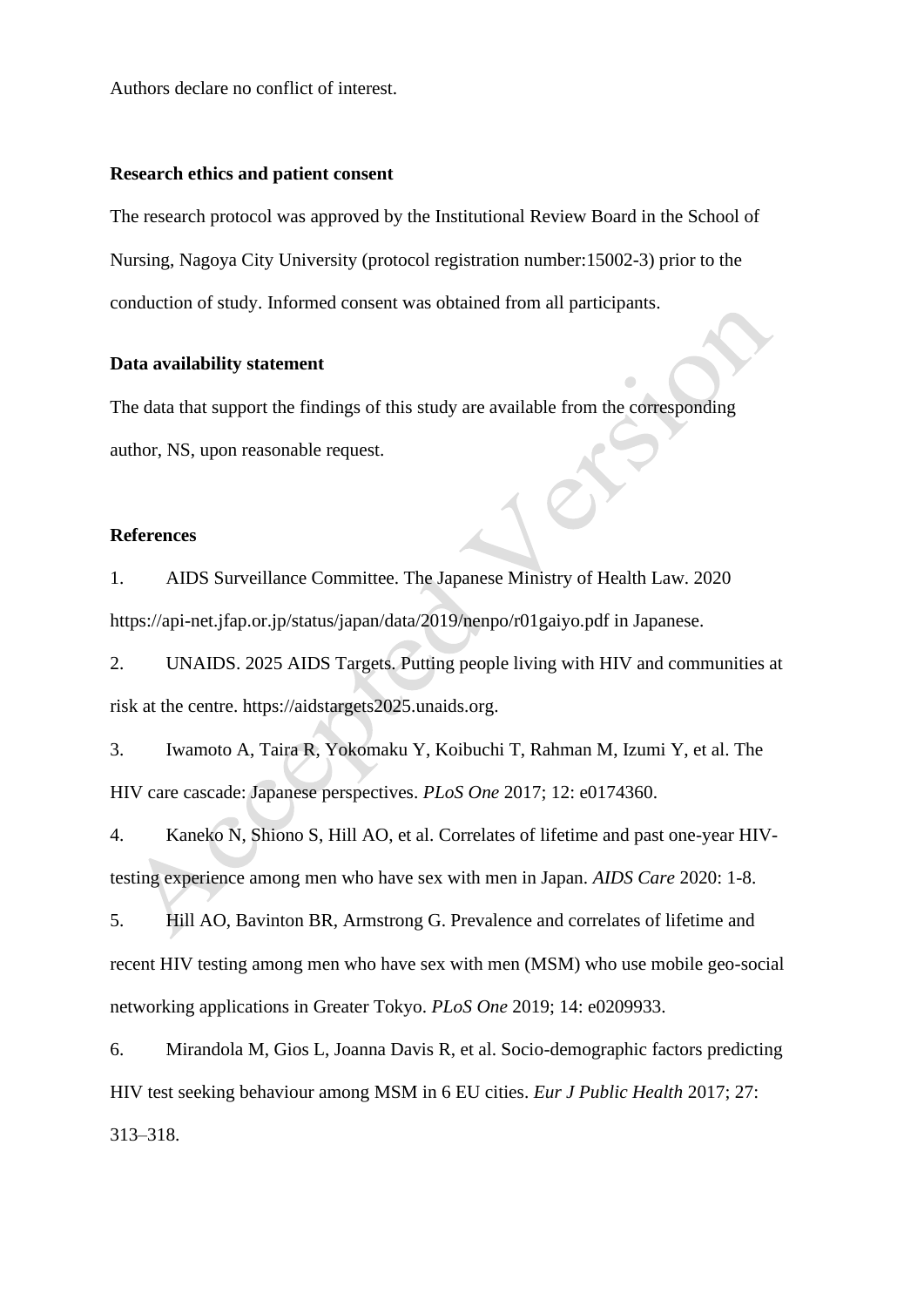Authors declare no conflict of interest.

#### **Research ethics and patient consent**

The research protocol was approved by the Institutional Review Board in the School of Nursing, Nagoya City University (protocol registration number:15002-3) prior to the conduction of study. Informed consent was obtained from all participants.

#### **Data availability statement**

The data that support the findings of this study are available from the corresponding author, NS, upon reasonable request.

# **References**

1. AIDS Surveillance Committee. The Japanese Ministry of Health Law. 2020 https://api-net.jfap.or.jp/status/japan/data/2019/nenpo/r01gaiyo.pdf in Japanese.

2. UNAIDS. 2025 AIDS Targets. Putting people living with HIV and communities at risk at the centre. https://aidstargets2025.unaids.org.

3. Iwamoto A, Taira R, Yokomaku Y, Koibuchi T, Rahman M, Izumi Y, et al. The HIV care cascade: Japanese perspectives. *PLoS One* 2017; 12: e0174360.

4. Kaneko N, Shiono S, Hill AO, et al. Correlates of lifetime and past one-year HIVtesting experience among men who have sex with men in Japan. *AIDS Care* 2020: 1-8.

5. Hill AO, Bavinton BR, Armstrong G. Prevalence and correlates of lifetime and recent HIV testing among men who have sex with men (MSM) who use mobile geo-social networking applications in Greater Tokyo. *PLoS One* 2019; 14: e0209933.

6. Mirandola M, Gios L, Joanna Davis R, et al. Socio-demographic factors predicting HIV test seeking behaviour among MSM in 6 EU cities. *Eur J Public Health* 2017; 27: 313–318.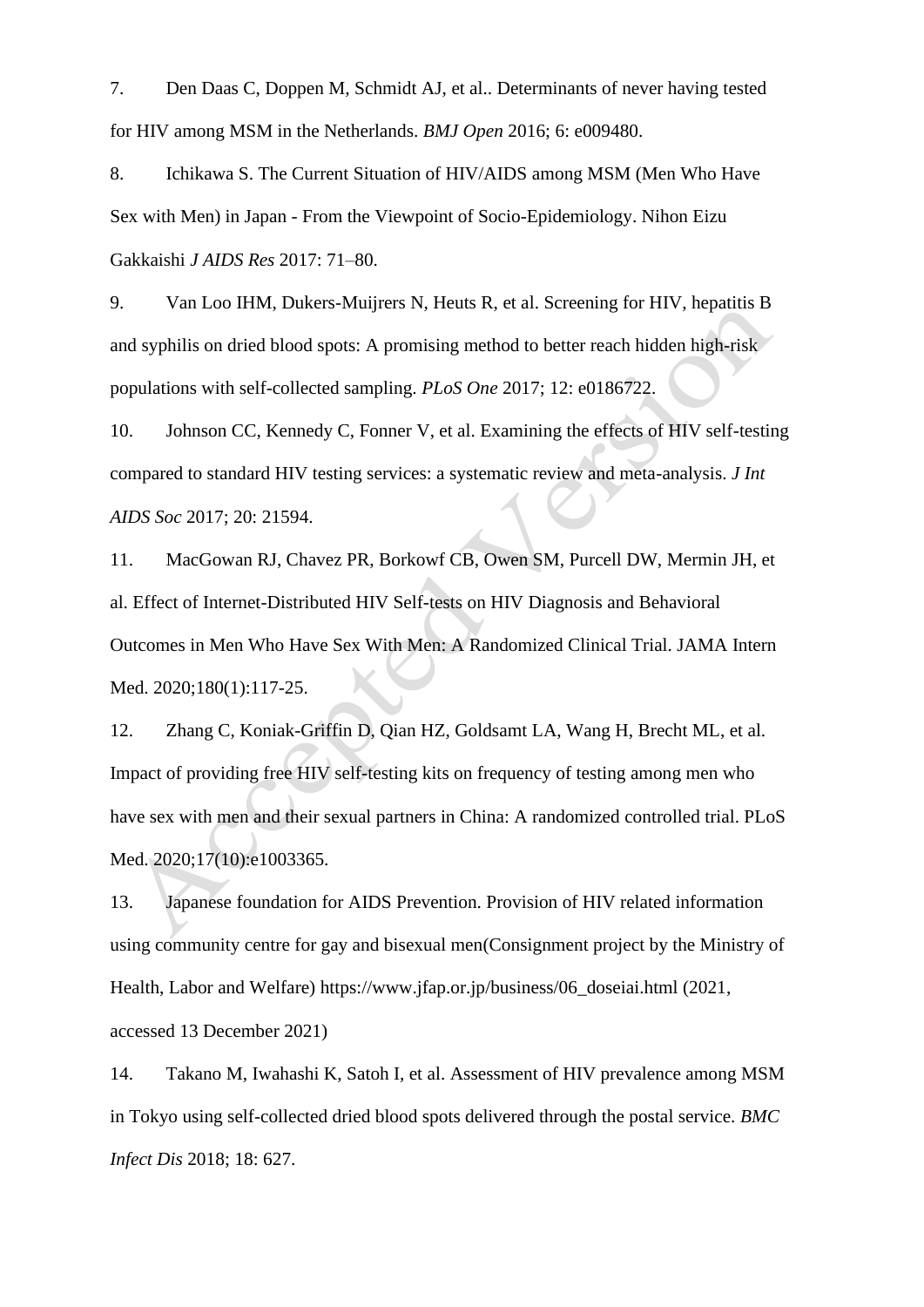7. Den Daas C, Doppen M, Schmidt AJ, et al.. Determinants of never having tested for HIV among MSM in the Netherlands. *BMJ Open* 2016; 6: e009480.

8. Ichikawa S. The Current Situation of HIV/AIDS among MSM (Men Who Have Sex with Men) in Japan - From the Viewpoint of Socio-Epidemiology. Nihon Eizu Gakkaishi *J AIDS Res* 2017: 71–80.

9. Van Loo IHM, Dukers-Muijrers N, Heuts R, et al. Screening for HIV, hepatitis B and syphilis on dried blood spots: A promising method to better reach hidden high-risk populations with self-collected sampling. *PLoS One* 2017; 12: e0186722.

10. Johnson CC, Kennedy C, Fonner V, et al. Examining the effects of HIV self-testing compared to standard HIV testing services: a systematic review and meta-analysis. *J Int AIDS Soc* 2017; 20: 21594.

11. MacGowan RJ, Chavez PR, Borkowf CB, Owen SM, Purcell DW, Mermin JH, et al. Effect of Internet-Distributed HIV Self-tests on HIV Diagnosis and Behavioral Outcomes in Men Who Have Sex With Men: A Randomized Clinical Trial. JAMA Intern Med. 2020;180(1):117-25.

12. Zhang C, Koniak-Griffin D, Qian HZ, Goldsamt LA, Wang H, Brecht ML, et al. Impact of providing free HIV self-testing kits on frequency of testing among men who have sex with men and their sexual partners in China: A randomized controlled trial. PLoS Med. 2020;17(10):e1003365.

13. Japanese foundation for AIDS Prevention. Provision of HIV related information using community centre for gay and bisexual men(Consignment project by the Ministry of Health, Labor and Welfare) https://www.jfap.or.jp/business/06\_doseiai.html (2021, accessed 13 December 2021)

14. Takano M, Iwahashi K, Satoh I, et al. Assessment of HIV prevalence among MSM in Tokyo using self-collected dried blood spots delivered through the postal service. *BMC Infect Dis* 2018; 18: 627.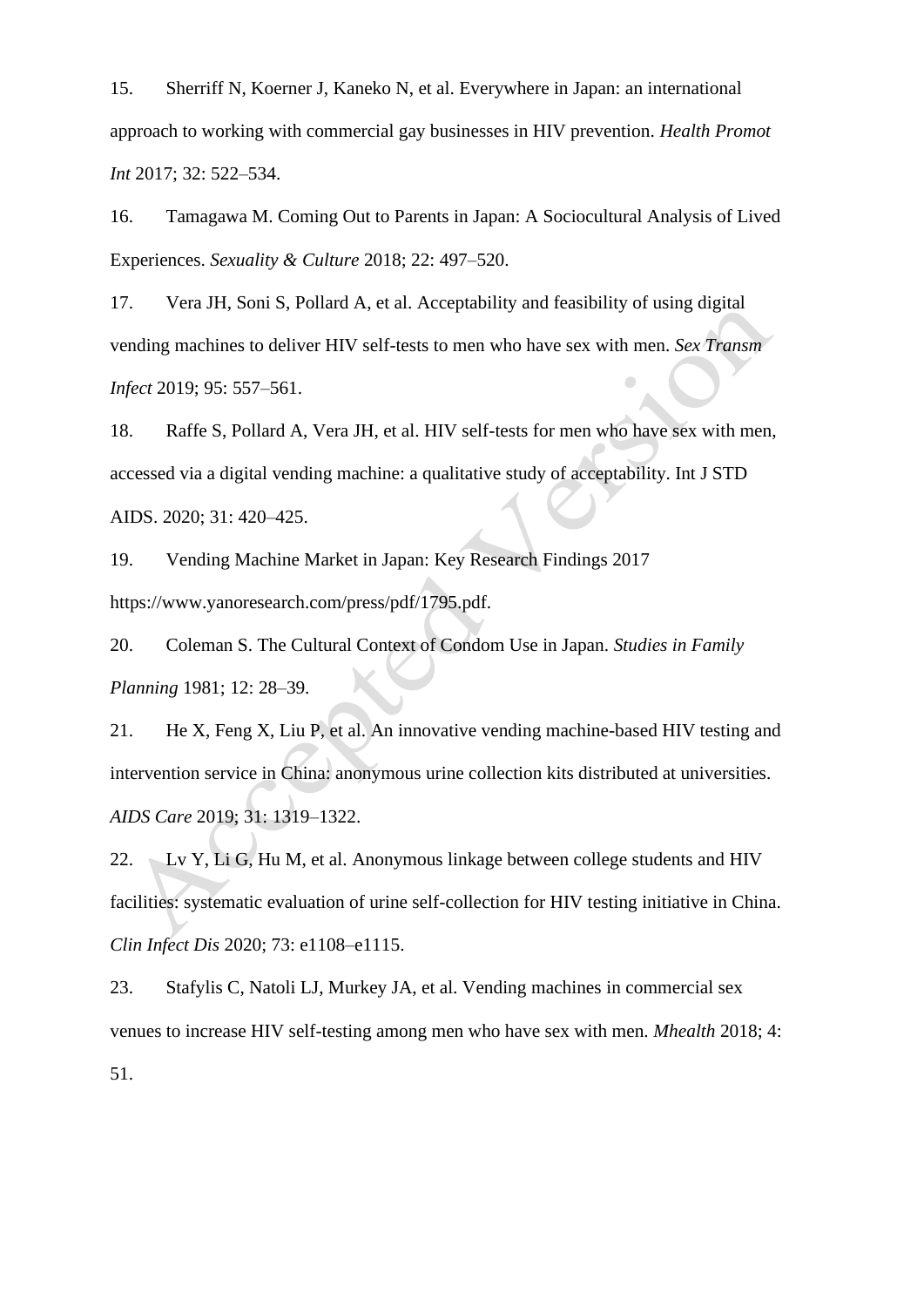15. Sherriff N, Koerner J, Kaneko N, et al. Everywhere in Japan: an international approach to working with commercial gay businesses in HIV prevention. *Health Promot Int* 2017; 32: 522–534.

16. Tamagawa M. Coming Out to Parents in Japan: A Sociocultural Analysis of Lived Experiences. *Sexuality & Culture* 2018; 22: 497–520.

17. Vera JH, Soni S, Pollard A, et al. Acceptability and feasibility of using digital vending machines to deliver HIV self-tests to men who have sex with men. *Sex Transm Infect* 2019; 95: 557–561.

18. Raffe S, Pollard A, Vera JH, et al. HIV self-tests for men who have sex with men, accessed via a digital vending machine: a qualitative study of acceptability. Int J STD AIDS. 2020; 31: 420–425.

19. Vending Machine Market in Japan: Key Research Findings 2017 https://www.yanoresearch.com/press/pdf/1795.pdf.

20. Coleman S. The Cultural Context of Condom Use in Japan. *Studies in Family Planning* 1981; 12: 28–39.

21. He X, Feng X, Liu P, et al. An innovative vending machine-based HIV testing and intervention service in China: anonymous urine collection kits distributed at universities. *AIDS Care* 2019; 31: 1319–1322.

22. Lv Y, Li G, Hu M, et al. Anonymous linkage between college students and HIV facilities: systematic evaluation of urine self-collection for HIV testing initiative in China. *Clin Infect Dis* 2020; 73: e1108–e1115.

23. Stafylis C, Natoli LJ, Murkey JA, et al. Vending machines in commercial sex venues to increase HIV self-testing among men who have sex with men. *Mhealth* 2018; 4: 51.